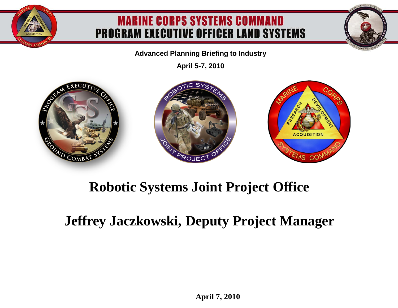#### **MARINE CORPS SYSTEMS COMMAND PROGRAM EXECUTIVE OFFICER LAND SYSTEMS**

**Advanced Planning Briefing to Industry**

**April 5-7, 2010**





### **Robotic Systems Joint Project Office**

### **Jeffrey Jaczkowski, Deputy Project Manager**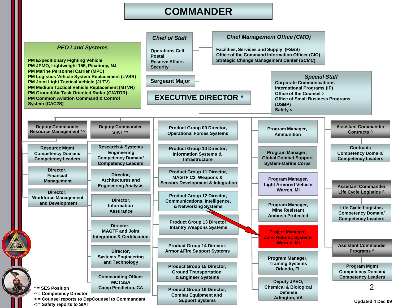#### **COMMANDER**

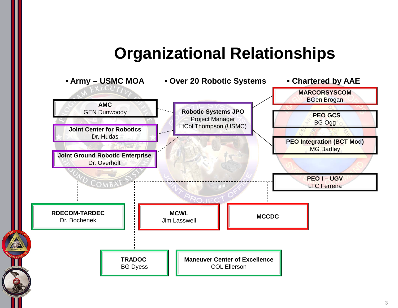## **Organizational Relationships**

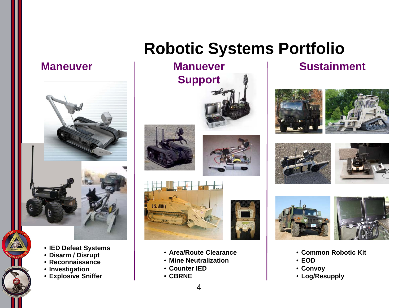#### **Maneuver**



- **IED Defeat Systems**
- **Disarm / Disrupt**
- **Reconnaissance**
- **Investigation**
- **Explosive Sniffer**

# **Robotic Systems Portfolio**









- **Area/Route Clearance**
- **Mine Neutralization**
- **Counter IED**
- **CBRNE**

#### **Sustainment**











- **Common Robotic Kit**
- **EOD**
- **Convoy**
- **Log/Resupply**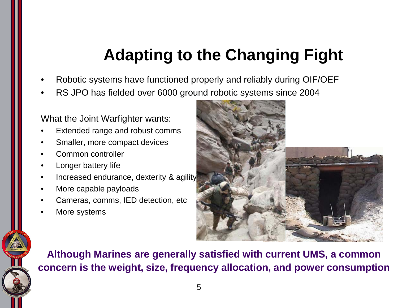# **Adapting to the Changing Fight**

- Robotic systems have functioned properly and reliably during OIF/OEF
- RS JPO has fielded over 6000 ground robotic systems since 2004

#### What the Joint Warfighter wants:

- Extended range and robust comms
- Smaller, more compact devices
- Common controller
- Longer battery life
- Increased endurance, dexterity & agility
- More capable payloads
- Cameras, comms, IED detection, etc
- More systems



**Although Marines are generally satisfied with current UMS, a common concern is the weight, size, frequency allocation, and power consumption**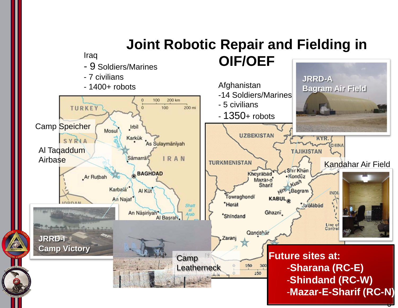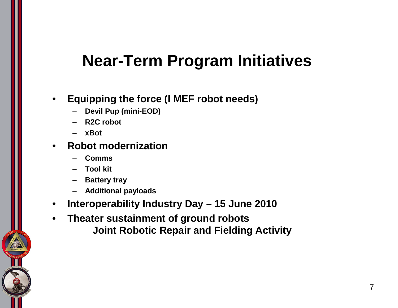## **Near-Term Program Initiatives**

- **Equipping the force (I MEF robot needs)**
	- **Devil Pup (mini-EOD)**
	- **R2C robot**
	- **xBot**
- **Robot modernization**
	- **Comms**
	- **Tool kit**
	- **Battery tray**
	- **Additional payloads**
- **Interoperability Industry Day – 15 June 2010**
- **Theater sustainment of ground robots Joint Robotic Repair and Fielding Activity**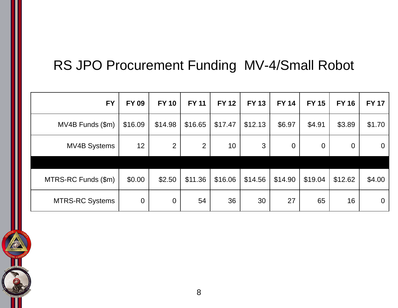## RS JPO Procurement Funding MV-4/Small Robot

| <b>FY</b>              | <b>FY 09</b>   | <b>FY 10</b>   | <b>FY 11</b>   | <b>FY 12</b>    | <b>FY 13</b> | <b>FY 14</b>   | <b>FY 15</b> | <b>FY 16</b>   | <b>FY 17</b>   |
|------------------------|----------------|----------------|----------------|-----------------|--------------|----------------|--------------|----------------|----------------|
| MV4B Funds (\$m)       | \$16.09        | \$14.98        | \$16.65        | \$17.47         | \$12.13      | \$6.97         | \$4.91       | \$3.89         | \$1.70         |
| <b>MV4B Systems</b>    | 12             | 2              | $\overline{2}$ | 10 <sup>°</sup> | 3            | $\overline{0}$ | $\theta$     | $\overline{0}$ | $\overline{0}$ |
|                        |                |                |                |                 |              |                |              |                |                |
| MTRS-RC Funds (\$m)    | \$0.00         | \$2.50         | \$11.36        | \$16.06         | \$14.56      | \$14.90        | \$19.04      | \$12.62        | \$4.00         |
| <b>MTRS-RC Systems</b> | $\overline{0}$ | $\overline{0}$ | 54             | 36              | 30           | 27             | 65           | 16             | $\overline{0}$ |

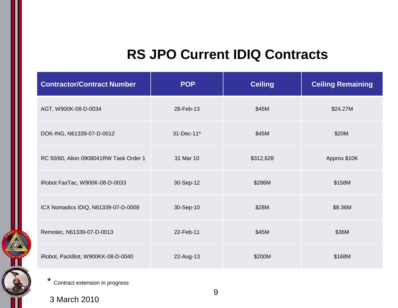### **RS JPO Current IDIQ Contracts**

| <b>Contractor/Contract Number</b>      | <b>POP</b> | <b>Ceiling</b> | <b>Ceiling Remaining</b> |
|----------------------------------------|------------|----------------|--------------------------|
| AGT, W900K-08-D-0034                   | 28-Feb-13  | \$45M          | \$24.27M                 |
| DOK-ING, N61339-07-D-0012              | 31-Dec-11* | \$45M          | \$20M                    |
| RC 50/60, Alion 0908041RW Task Order 1 | 31 Mar 10  | \$312,628      | Approx \$10K             |
| iRobot FasTac, W900K-08-D-0033         | 30-Sep-12  | \$286M         | \$158M                   |
| ICX Nomadics IDIQ, N61339-07-D-0008    | 30-Sep-10  | \$28M          | \$8.36M                  |
| Remotec, N61339-07-D-0013              | 22-Feb-11  | \$45M          | \$36M                    |
| iRobot, PackBot, W900KK-08-D-0040      | 22-Aug-13  | \$200M         | \$168M                   |

\* Contract extension in progress

3 March 2010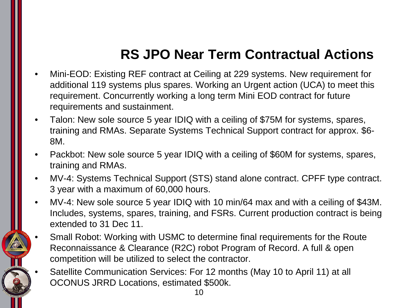## **RS JPO Near Term Contractual Actions**

- Mini-EOD: Existing REF contract at Ceiling at 229 systems. New requirement for additional 119 systems plus spares. Working an Urgent action (UCA) to meet this requirement. Concurrently working a long term Mini EOD contract for future requirements and sustainment.
- Talon: New sole source 5 year IDIQ with a ceiling of \$75M for systems, spares, training and RMAs. Separate Systems Technical Support contract for approx. \$6- 8M.
- Packbot: New sole source 5 year IDIQ with a ceiling of \$60M for systems, spares, training and RMAs.
- MV-4: Systems Technical Support (STS) stand alone contract. CPFF type contract. 3 year with a maximum of 60,000 hours.
- MV-4: New sole source 5 year IDIQ with 10 min/64 max and with a ceiling of \$43M. Includes, systems, spares, training, and FSRs. Current production contract is being extended to 31 Dec 11.
- Small Robot: Working with USMC to determine final requirements for the Route Reconnaissance & Clearance (R2C) robot Program of Record. A full & open competition will be utilized to select the contractor.
- Satellite Communication Services: For 12 months (May 10 to April 11) at all OCONUS JRRD Locations, estimated \$500k.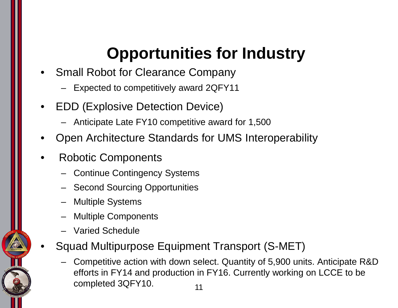# **Opportunities for Industry**

- Small Robot for Clearance Company
	- Expected to competitively award 2QFY11
- EDD (Explosive Detection Device)
	- Anticipate Late FY10 competitive award for 1,500
- Open Architecture Standards for UMS Interoperability
- Robotic Components
	- Continue Contingency Systems
	- Second Sourcing Opportunities
	- Multiple Systems
	- Multiple Components
	- Varied Schedule
- Squad Multipurpose Equipment Transport (S-MET)
	- Competitive action with down select. Quantity of 5,900 units. Anticipate R&D efforts in FY14 and production in FY16. Currently working on LCCE to be completed 3QFY10. 11